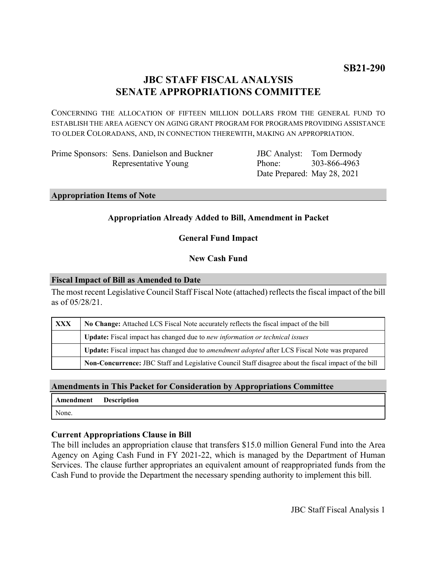# **JBC STAFF FISCAL ANALYSIS SENATE APPROPRIATIONS COMMITTEE**

CONCERNING THE ALLOCATION OF FIFTEEN MILLION DOLLARS FROM THE GENERAL FUND TO ESTABLISH THE AREA AGENCY ON AGING GRANT PROGRAM FOR PROGRAMS PROVIDING ASSISTANCE TO OLDER COLORADANS, AND, IN CONNECTION THEREWITH, MAKING AN APPROPRIATION.

Prime Sponsors: Sens. Danielson and Buckner Representative Young

JBC Analyst: Phone: Date Prepared: May 28, 2021 Tom Dermody 303-866-4963

**Appropriation Items of Note**

# **Appropriation Already Added to Bill, Amendment in Packet**

# **General Fund Impact**

# **New Cash Fund**

## **Fiscal Impact of Bill as Amended to Date**

The most recent Legislative Council Staff Fiscal Note (attached) reflects the fiscal impact of the bill as of 05/28/21.

| <b>XXX</b> | No Change: Attached LCS Fiscal Note accurately reflects the fiscal impact of the bill                 |
|------------|-------------------------------------------------------------------------------------------------------|
|            | Update: Fiscal impact has changed due to new information or technical issues                          |
|            | Update: Fiscal impact has changed due to <i>amendment adopted</i> after LCS Fiscal Note was prepared  |
|            | Non-Concurrence: JBC Staff and Legislative Council Staff disagree about the fiscal impact of the bill |

# **Amendments in This Packet for Consideration by Appropriations Committee**

| Amendment | Description |
|-----------|-------------|
| None.     |             |

# **Current Appropriations Clause in Bill**

The bill includes an appropriation clause that transfers \$15.0 million General Fund into the Area Agency on Aging Cash Fund in FY 2021-22, which is managed by the Department of Human Services. The clause further appropriates an equivalent amount of reappropriated funds from the Cash Fund to provide the Department the necessary spending authority to implement this bill.